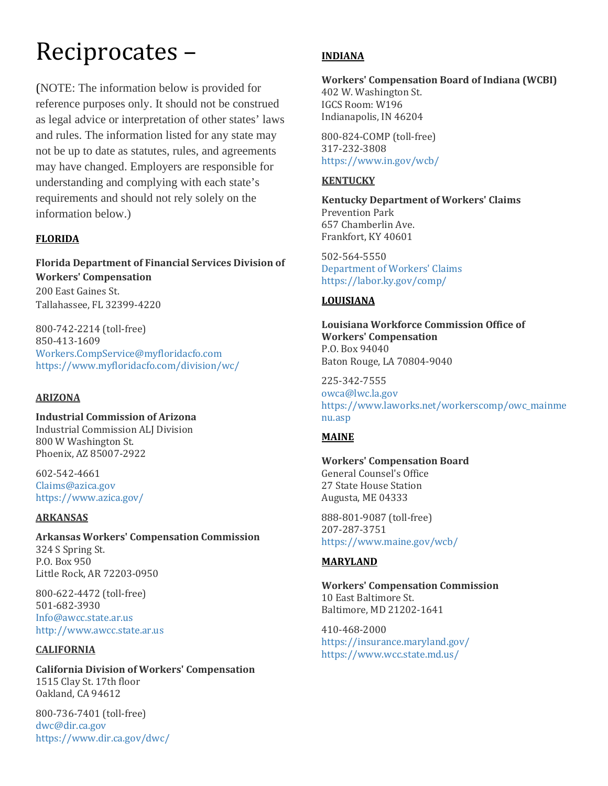# Reciprocates –

(NOTE: The information below is provided for reference purposes only. It should not be construed as legal advice or interpretation of other states' laws and rules. The information listed for any state may not be up to date as statutes, rules, and agreements may have changed. Employers are responsible for understanding and complying with each state's requirements and should not rely solely on the information below.)

# **FLORIDA**

**Florida Department of Financial Services Division of Workers' Compensation** 200 East Gaines St. Tallahassee, FL 32399-4220

800-742-2214 (toll-free) 850-413-1609 [Workers.CompService@myfloridacfo.com](mailto:Workers.CompService@myfloridacfo.com) <https://www.myfloridacfo.com/division/wc/>

## **ARIZONA**

**Industrial Commission of Arizona** Industrial Commission ALJ Division 800 W Washington St. Phoenix, AZ 85007-2922

602-542-4661 [Claims@azica.gov](mailto:Claims@azica.gov) <https://www.azica.gov/>

## **ARKANSAS**

**Arkansas Workers' Compensation Commission** 324 S Spring St. P.O. Box 950 Little Rock, AR 72203-0950

800-622-4472 (toll-free) 501-682-3930 [Info@awcc.state.ar.us](mailto:Info@awcc.state.ar.us) [http://www.awcc.state.ar.us](http://www.awcc.state.ar.us/)

## **CALIFORNIA**

**California Division of Workers' Compensation** 1515 Clay St. 17th floor Oakland, CA 94612

800-736-7401 (toll-free) [dwc@dir.ca.gov](mailto:dwc@dir.ca.gov) <https://www.dir.ca.gov/dwc/>

# **INDIANA**

#### **Workers' Compensation Board of Indiana (WCBI)** 402 W. Washington St.

IGCS Room: W196 Indianapolis, IN 46204

800-824-COMP (toll-free) 317-232-3808 <https://www.in.gov/wcb/>

# **KENTUCKY**

**Kentucky Department of Workers' Claims** Prevention Park 657 Chamberlin Ave. Frankfort, KY 40601

502-564-5550 [Department of Workers](mailto:Kimberly.McKenzie@ky.gov;Howardc.Lawson@ky.gov)' Claims <https://labor.ky.gov/comp/>

## **LOUISIANA**

**Louisiana Workforce Commission Office of Workers' Compensation** P.O. Box 94040 Baton Rouge, LA 70804-9040

225-342-7555 [owca@lwc.la.gov](mailto:owca@lwc.la.gov) [https://www.laworks.net/workerscomp/owc\\_mainme](https://www.laworks.net/workerscomp/owc_mainmenu.asp) [nu.asp](https://www.laworks.net/workerscomp/owc_mainmenu.asp)

## **MAINE**

# **Workers' Compensation Board**

General Counsel's Office 27 State House Station Augusta, ME 04333

888-801-9087 (toll-free) 207-287-3751 <https://www.maine.gov/wcb/>

# **MARYLAND**

**Workers' Compensation Commission** 10 East Baltimore St. Baltimore, MD 21202-1641

410-468-2000 <https://insurance.maryland.gov/> <https://www.wcc.state.md.us/>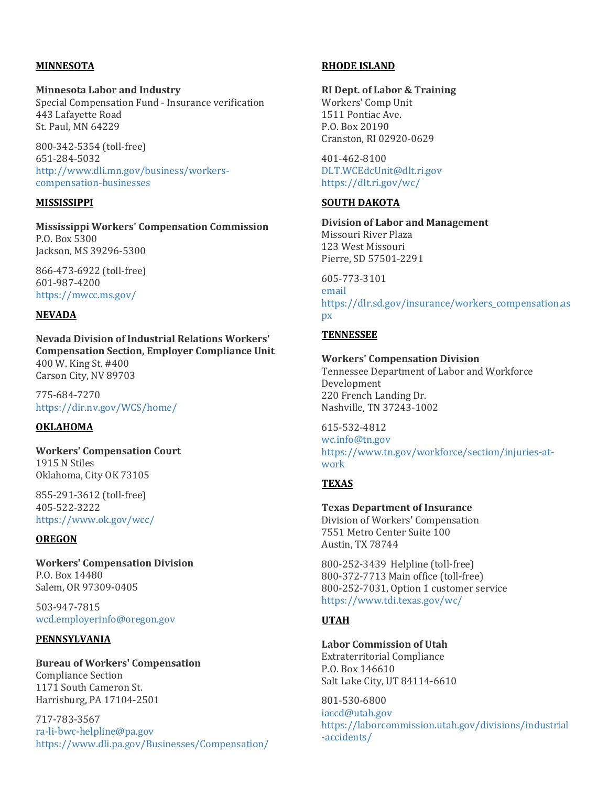## **MINNESOTA**

#### **Minnesota Labor and Industry**

Special Compensation Fund - Insurance verification 443 Lafayette Road St. Paul, MN 64229

800-342-5354 (toll-free) 651-284-5032 [http://www.dli.mn.gov/business/workers](http://www.dli.mn.gov/business/workers-compensation-businesses)[compensation-businesses](http://www.dli.mn.gov/business/workers-compensation-businesses)

#### **MISSISSIPPI**

#### **Mississippi Workers' Compensation Commission** P.O. Box 5300 Jackson, MS 39296-5300

866-473-6922 (toll-free) 601-987-4200 <https://mwcc.ms.gov/>

#### **NEVADA**

**Nevada Division of Industrial Relations Workers' Compensation Section, Employer Compliance Unit** 400 W. King St. #400 Carson City, NV 89703

775-684-7270 <https://dir.nv.gov/WCS/home/>

#### **OKLAHOMA**

**Workers' Compensation Court** 1915 N Stiles Oklahoma, City OK 73105

855-291-3612 (toll-free) 405-522-3222 <https://www.ok.gov/wcc/>

#### **OREGON**

**Workers' Compensation Division** P.O. Box 14480 Salem, OR 97309-0405

503-947-7815 [wcd.employerinfo@oregon.gov](mailto:wcd.employerinfo@oregon.gov)

#### **PENNSYLVANIA**

#### **Bureau of Workers' Compensation** Compliance Section 1171 South Cameron St. Harrisburg, PA 17104-2501

717-783-3567 [ra-li-bwc-helpline@pa.gov](mailto:ra-li-bwc-helpline@pa.gov) <https://www.dli.pa.gov/Businesses/Compensation/>

#### **RHODE ISLAND**

#### **RI Dept. of Labor & Training**

Workers' Comp Unit 1511 Pontiac Ave. P.O. Box 20190 Cranston, RI 02920-0629

401-462-8100 [DLT.WCEdcUnit@dlt.ri.gov](mailto:DLT.WCEdcUnit@dlt.ri.gov) <https://dlt.ri.gov/wc/>

#### **SOUTH DAKOTA**

**Division of Labor and Management** Missouri River Plaza 123 West Missouri Pierre, SD 57501-2291

605-773-3101 [email](http://apps.sd.gov/LDInternet/Template/main.aspx?templateid=25&ID=57) [https://dlr.sd.gov/insurance/workers\\_compensation.as](https://dlr.sd.gov/insurance/workers_compensation.aspx) [px](https://dlr.sd.gov/insurance/workers_compensation.aspx)

#### **TENNESSEE**

#### **Workers' Compensation Division**

Tennessee Department of Labor and Workforce Development 220 French Landing Dr. Nashville, TN 37243-1002

615-532-4812 [wc.info@tn.gov](mailto:wc.info@tn.gov) [https://www.tn.gov/workforce/section/injuries-at](https://www.tn.gov/workforce/section/injuries-at-work)[work](https://www.tn.gov/workforce/section/injuries-at-work)

### **TEXAS**

**Texas Department of Insurance** Division of Workers' Compensation 7551 Metro Center Suite 100 Austin, TX 78744

800-252-3439 Helpline (toll-free) 800-372-7713 Main office (toll-free) 800-252-7031, Option 1 customer service <https://www.tdi.texas.gov/wc/>

#### **UTAH**

**Labor Commission of Utah** Extraterritorial Compliance P.O. Box 146610 Salt Lake City, UT 84114-6610

801-530-6800 [iaccd@utah.gov](mailto:iaccd@utah.gov) [https://laborcommission.utah.gov/divisions/industrial](https://laborcommission.utah.gov/divisions/industrial-accidents/) [-accidents/](https://laborcommission.utah.gov/divisions/industrial-accidents/)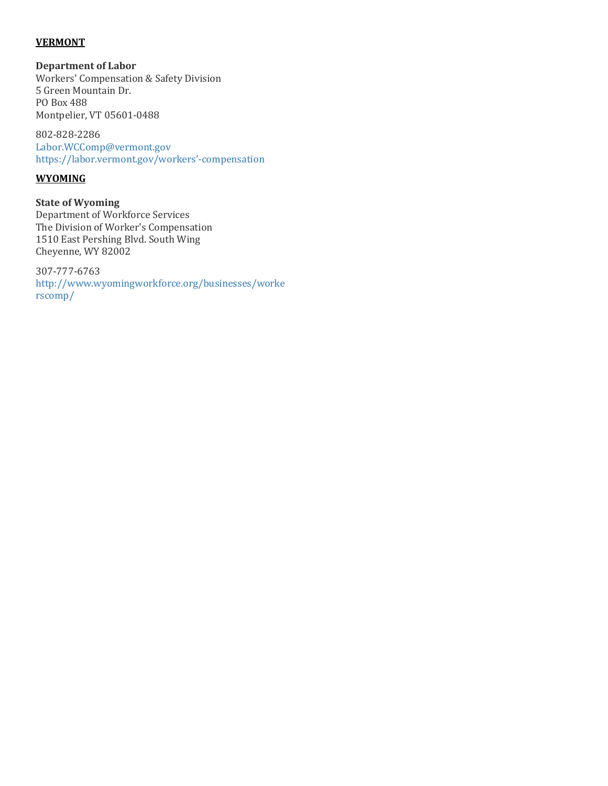### **VERMONT**

**Department of Labor**

Workers' Compensation & Safety Division 5 Green Mountain Dr. PO Box 488 Montpelier, VT 05601-0488

802-828-2286 [Labor.WCComp@vermont.gov](mailto:Labor.WCComp@vermont.gov) [https://labor.vermont.gov/workers'-compensation](https://labor.vermont.gov/workers%E2%80%99-compensation)

## **WYOMING**

**State of Wyoming** Department of Workforce Services The Division of Worker's Compensation 1510 East Pershing Blvd. South Wing Cheyenne, WY 82002

307-777-6763 [http://www.wyomingworkforce.org/businesses/worke](http://www.wyomingworkforce.org/businesses/workerscomp/) [rscomp/](http://www.wyomingworkforce.org/businesses/workerscomp/)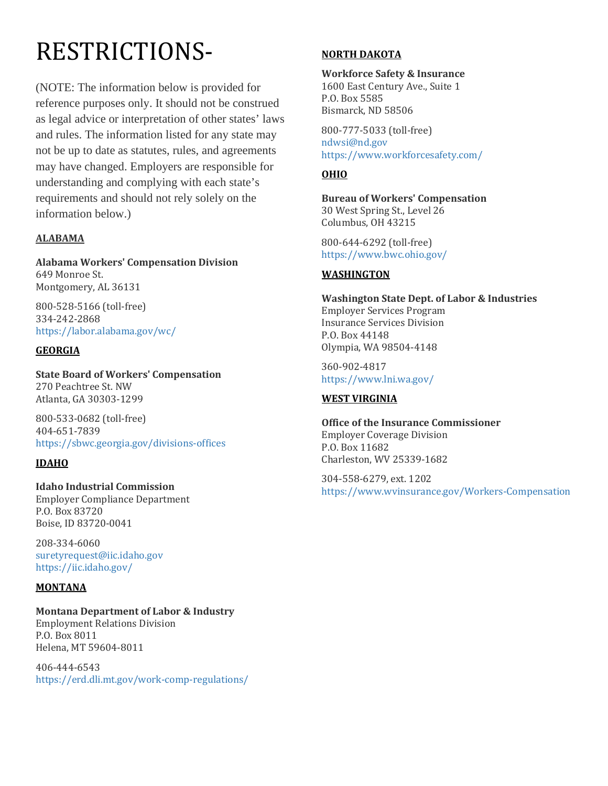# RESTRICTIONS-

(NOTE: The information below is provided for reference purposes only. It should not be construed as legal advice or interpretation of other states' laws and rules. The information listed for any state may not be up to date as statutes, rules, and agreements may have changed. Employers are responsible for understanding and complying with each state's requirements and should not rely solely on the information below.)

# **ALABAMA**

**Alabama Workers' Compensation Division** 649 Monroe St. Montgomery, AL 36131

800-528-5166 (toll-free) 334-242-2868 <https://labor.alabama.gov/wc/>

# **GEORGIA**

**State Board of Workers' Compensation** 270 Peachtree St. NW Atlanta, GA 30303-1299

800-533-0682 (toll-free) 404-651-7839 <https://sbwc.georgia.gov/divisions-offices>

# **IDAHO**

#### **Idaho Industrial Commission** Employer Compliance Department

P.O. Box 83720 Boise, ID 83720-0041

208-334-6060 [suretyrequest@iic.idaho.gov](mailto:suretyrequest@iic.idaho.gov) <https://iic.idaho.gov/>

## **MONTANA**

**Montana Department of Labor & Industry** Employment Relations Division P.O. Box 8011 Helena, MT 59604-8011

406-444-6543 <https://erd.dli.mt.gov/work-comp-regulations/>

## **NORTH DAKOTA**

**Workforce Safety & Insurance** 1600 East Century Ave., Suite 1 P.O. Box 5585 Bismarck, ND 58506

800-777-5033 (toll-free) [ndwsi@nd.gov](mailto:ndwsi@nd.gov) <https://www.workforcesafety.com/>

## **OHIO**

**Bureau of Workers' Compensation** 30 West Spring St., Level 26 Columbus, OH 43215

800-644-6292 (toll-free) <https://www.bwc.ohio.gov/>

## **WASHINGTON**

**Washington State Dept. of Labor & Industries** Employer Services Program Insurance Services Division P.O. Box 44148 Olympia, WA 98504-4148

360-902-4817 <https://www.lni.wa.gov/>

## **WEST VIRGINIA**

**Office of the Insurance Commissioner** Employer Coverage Division P.O. Box 11682 Charleston, WV 25339-1682

304-558-6279, ext. 1202 <https://www.wvinsurance.gov/Workers-Compensation>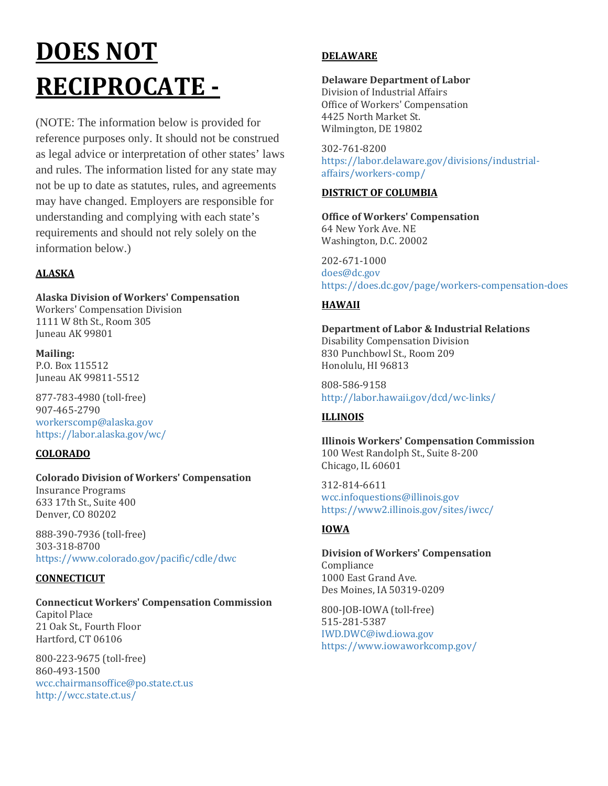# **DOES NOT RECIPROCATE -**

(NOTE: The information below is provided for reference purposes only. It should not be construed as legal advice or interpretation of other states' laws and rules. The information listed for any state may not be up to date as statutes, rules, and agreements may have changed. Employers are responsible for understanding and complying with each state's requirements and should not rely solely on the information below.)

# **ALASKA**

# **Alaska Division of Workers' Compensation**

Workers' Compensation Division 1111 W 8th St., Room 305 Juneau AK 99801

**Mailing:** P.O. Box 115512 Juneau AK 99811-5512

877-783-4980 (toll-free) 907-465-2790 [workerscomp@alaska.gov](mailto:workerscomp@alaska.gov) <https://labor.alaska.gov/wc/>

# **COLORADO**

# **Colorado Division of Workers' Compensation** Insurance Programs

633 17th St., Suite 400 Denver, CO 80202

888-390-7936 (toll-free) 303-318-8700 <https://www.colorado.gov/pacific/cdle/dwc>

## **CONNECTICUT**

#### **Connecticut Workers' Compensation Commission** Capitol Place 21 Oak St., Fourth Floor Hartford, CT 06106

800-223-9675 (toll-free) 860-493-1500 [wcc.chairmansoffice@po.state.ct.us](mailto:wcc.chairmansoffice@po.state.ct.us) <http://wcc.state.ct.us/>

# **DELAWARE**

# **Delaware Department of Labor**

Division of Industrial Affairs Office of Workers' Compensation 4425 North Market St. Wilmington, DE 19802

302-761-8200 [https://labor.delaware.gov/divisions/industrial](https://labor.delaware.gov/divisions/industrial-affairs/workers-comp/)[affairs/workers-comp/](https://labor.delaware.gov/divisions/industrial-affairs/workers-comp/)

# **DISTRICT OF COLUMBIA**

**Office of Workers' Compensation** 64 New York Ave. NE Washington, D.C. 20002

202-671-1000 [does@dc.gov](mailto:does@dc.gov) <https://does.dc.gov/page/workers-compensation-does>

## **HAWAII**

#### **Department of Labor & Industrial Relations** Disability Compensation Division 830 Punchbowl St., Room 209 Honolulu, HI 96813

808-586-9158 <http://labor.hawaii.gov/dcd/wc-links/>

# **ILLINOIS**

**Illinois Workers' Compensation Commission** 100 West Randolph St., Suite 8-200 Chicago, IL 60601

312-814-6611 [wcc.infoquestions@illinois.gov](mailto:wcc.infoquestions@illinois.gov) <https://www2.illinois.gov/sites/iwcc/>

# **IOWA**

**Division of Workers' Compensation** Compliance 1000 East Grand Ave. Des Moines, IA 50319-0209

800-JOB-IOWA (toll-free) 515-281-5387 [IWD.DWC@iwd.iowa.gov](mailto:IWD.DWC@iwd.iowa.gov) <https://www.iowaworkcomp.gov/>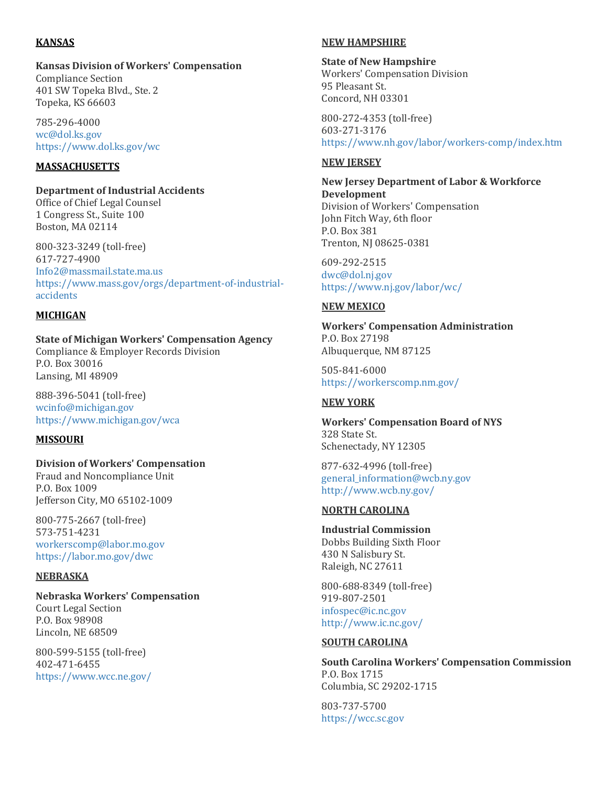## **KANSAS**

## **Kansas Division of Workers' Compensation**

Compliance Section 401 SW Topeka Blvd., Ste. 2 Topeka, KS 66603

785-296-4000 [wc@dol.ks.gov](mailto:wc@dol.ks.gov) <https://www.dol.ks.gov/wc>

## **MASSACHUSETTS**

**Department of Industrial Accidents**

Office of Chief Legal Counsel 1 Congress St., Suite 100 Boston, MA 02114

800-323-3249 (toll-free) 617-727-4900 [Info2@massmail.state.ma.us](mailto:Info2@massmail.state.ma.us) [https://www.mass.gov/orgs/department-of-industrial](https://www.mass.gov/orgs/department-of-industrial-accidents)[accidents](https://www.mass.gov/orgs/department-of-industrial-accidents)

### **MICHIGAN**

**State of Michigan Workers' Compensation Agency** Compliance & Employer Records Division P.O. Box 30016 Lansing, MI 48909

888-396-5041 (toll-free) [wcinfo@michigan.gov](mailto:wcinfo@michigan.gov) <https://www.michigan.gov/wca>

## **MISSOURI**

#### **Division of Workers' Compensation**

Fraud and Noncompliance Unit P.O. Box 1009 Jefferson City, MO 65102-1009

800-775-2667 (toll-free) 573-751-4231 [workerscomp@labor.mo.gov](mailto:workerscomp@labor.mo.gov) <https://labor.mo.gov/dwc>

#### **NEBRASKA**

#### **Nebraska Workers' Compensation** Court Legal Section P.O. Box 98908 Lincoln, NE 68509

800-599-5155 (toll-free) 402-471-6455 <https://www.wcc.ne.gov/>

### **NEW HAMPSHIRE**

#### **State of New Hampshire**

Workers' Compensation Division 95 Pleasant St. Concord, NH 03301

800-272-4353 (toll-free) 603-271-3176 [https://www.nh.gov/labor/workers-comp/index.htm](https://www.nh.gov/labor/workers-comp/)

#### **NEW JERSEY**

**New Jersey Department of Labor & Workforce Development** Division of Workers' Compensation John Fitch Way, 6th floor P.O. Box 381 Trenton, NJ 08625-0381

609-292-2515 [dwc@dol.nj.gov](mailto:dwc@dol.nj.gov) <https://www.nj.gov/labor/wc/>

### **NEW MEXICO**

**Workers' Compensation Administration** P.O. Box 27198 Albuquerque, NM 87125

505-841-6000 <https://workerscomp.nm.gov/>

## **NEW YORK**

**Workers' Compensation Board of NYS** 328 State St. Schenectady, NY 12305

877-632-4996 (toll-free) [general\\_information@wcb.ny.gov](mailto:general_information@wcb.ny.gov) <http://www.wcb.ny.gov/>

## **NORTH CAROLINA**

**Industrial Commission** Dobbs Building Sixth Floor 430 N Salisbury St. Raleigh, NC 27611

800-688-8349 (toll-free) 919-807-2501 [infospec@ic.nc.gov](mailto:infospec@ic.nc.gov) <http://www.ic.nc.gov/>

#### **SOUTH CAROLINA**

**South Carolina Workers' Compensation Commission** P.O. Box 1715 Columbia, SC 29202-1715

803-737-5700 [https://wcc.sc.gov](https://wcc.sc.gov/)